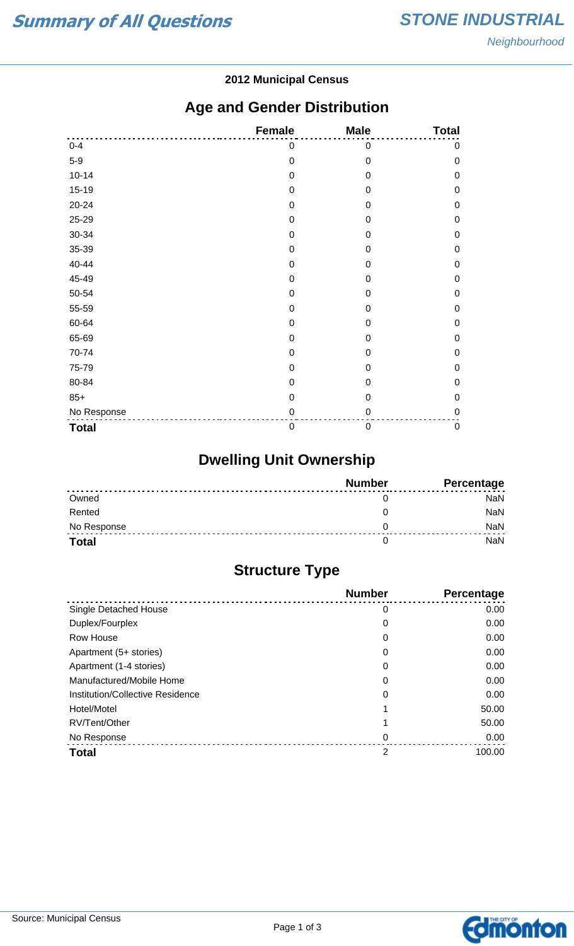#### **2012 Municipal Census**

### **Age and Gender Distribution**

|              | Female           | <b>Male</b>      | <b>Total</b>     |
|--------------|------------------|------------------|------------------|
| $0 - 4$      | 0                | $\mathbf 0$      | 0                |
| $5-9$        | $\mathbf 0$      | $\mathbf 0$      | $\mathbf 0$      |
| $10 - 14$    | $\mathbf 0$      | $\mathbf 0$      | $\mathbf 0$      |
| $15-19$      | $\mathbf 0$      | $\mathbf 0$      | 0                |
| 20-24        | $\mathbf 0$      | $\mathbf 0$      | $\mathbf 0$      |
| 25-29        | $\mathbf 0$      | $\boldsymbol{0}$ | $\mathbf 0$      |
| 30-34        | $\mathbf 0$      | $\mathbf 0$      | $\mathbf 0$      |
| 35-39        | $\mathbf 0$      | $\boldsymbol{0}$ | $\mathbf 0$      |
| 40-44        | $\mathbf 0$      | 0                | $\mathbf 0$      |
| 45-49        | $\mathbf 0$      | $\mathbf 0$      | $\boldsymbol{0}$ |
| 50-54        | $\mathbf 0$      | $\mathbf 0$      | $\mathbf 0$      |
| 55-59        | $\mathbf 0$      | $\mathbf 0$      | $\mathbf 0$      |
| 60-64        | $\mathbf 0$      | $\mathbf 0$      | $\mathbf 0$      |
| 65-69        | $\mathbf 0$      | $\mathbf 0$      | $\boldsymbol{0}$ |
| 70-74        | $\mathbf 0$      | $\boldsymbol{0}$ | 0                |
| 75-79        | $\mathbf 0$      | $\overline{0}$   | $\mathbf 0$      |
| 80-84        | 0                | $\mathbf 0$      | 0                |
| $85+$        | $\mathbf 0$      | $\mathbf 0$      | $\mathbf 0$      |
| No Response  | $\mathbf 0$      | $\mathbf 0$      | $\mathbf 0$      |
| <b>Total</b> | $\boldsymbol{0}$ | $\boldsymbol{0}$ | $\pmb{0}$        |

# **Dwelling Unit Ownership**

|              | <b>Number</b> | Percentage |
|--------------|---------------|------------|
| Owned        |               | NaN        |
| Rented       |               | <b>NaN</b> |
| No Response  |               | <b>NaN</b> |
| <b>Total</b> |               | NaN        |

# **Structure Type**

|                                  | <b>Number</b> | Percentage |
|----------------------------------|---------------|------------|
| Single Detached House            | 0             | 0.00       |
| Duplex/Fourplex                  | 0             | 0.00       |
| Row House                        | 0             | 0.00       |
| Apartment (5+ stories)           | 0             | 0.00       |
| Apartment (1-4 stories)          | 0             | 0.00       |
| Manufactured/Mobile Home         | 0             | 0.00       |
| Institution/Collective Residence | 0             | 0.00       |
| Hotel/Motel                      |               | 50.00      |
| RV/Tent/Other                    |               | 50.00      |
| No Response                      | 0             | 0.00       |
| <b>Total</b>                     | 2             | 100.00     |

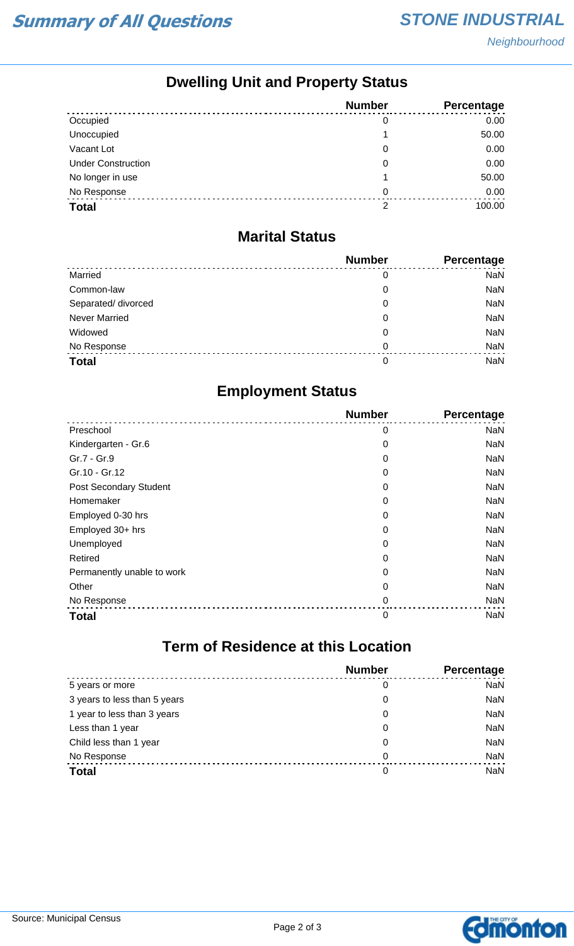## **Dwelling Unit and Property Status**

|                           | <b>Number</b> | <b>Percentage</b> |
|---------------------------|---------------|-------------------|
| Occupied                  | 0             | 0.00              |
| Unoccupied                |               | 50.00             |
| Vacant Lot                | 0             | 0.00              |
| <b>Under Construction</b> | 0             | 0.00              |
| No longer in use          |               | 50.00             |
| No Response               | 0             | 0.00              |
| <b>Total</b>              | 2             | 100.00            |

#### **Marital Status**

|                      | <b>Number</b> | Percentage |
|----------------------|---------------|------------|
| Married              | 0             | <b>NaN</b> |
| Common-law           | 0             | <b>NaN</b> |
| Separated/ divorced  | 0             | <b>NaN</b> |
| <b>Never Married</b> | 0             | <b>NaN</b> |
| Widowed              | 0             | <b>NaN</b> |
| No Response          | $\Omega$      | <b>NaN</b> |
| <b>Total</b>         | 0             | <b>NaN</b> |

### **Employment Status**

|                            | <b>Number</b> | Percentage |
|----------------------------|---------------|------------|
| Preschool                  | 0             | <b>NaN</b> |
| Kindergarten - Gr.6        | 0             | <b>NaN</b> |
| Gr.7 - Gr.9                | 0             | <b>NaN</b> |
| Gr.10 - Gr.12              | 0             | <b>NaN</b> |
| Post Secondary Student     | 0             | <b>NaN</b> |
| Homemaker                  | 0             | <b>NaN</b> |
| Employed 0-30 hrs          | 0             | <b>NaN</b> |
| Employed 30+ hrs           | 0             | <b>NaN</b> |
| Unemployed                 | 0             | <b>NaN</b> |
| Retired                    | 0             | <b>NaN</b> |
| Permanently unable to work | 0             | <b>NaN</b> |
| Other                      | 0             | <b>NaN</b> |
| No Response                | 0             | <b>NaN</b> |
| <b>Total</b>               | $\mathbf 0$   | <b>NaN</b> |

# **Term of Residence at this Location**

|                              | <b>Number</b> | Percentage |
|------------------------------|---------------|------------|
| 5 years or more              | 0             | <b>NaN</b> |
| 3 years to less than 5 years | 0             | <b>NaN</b> |
| 1 year to less than 3 years  | 0             | <b>NaN</b> |
| Less than 1 year             | 0             | <b>NaN</b> |
| Child less than 1 year       | 0             | <b>NaN</b> |
| No Response                  | 0             | <b>NaN</b> |
| <b>Total</b>                 | 0             | <b>NaN</b> |